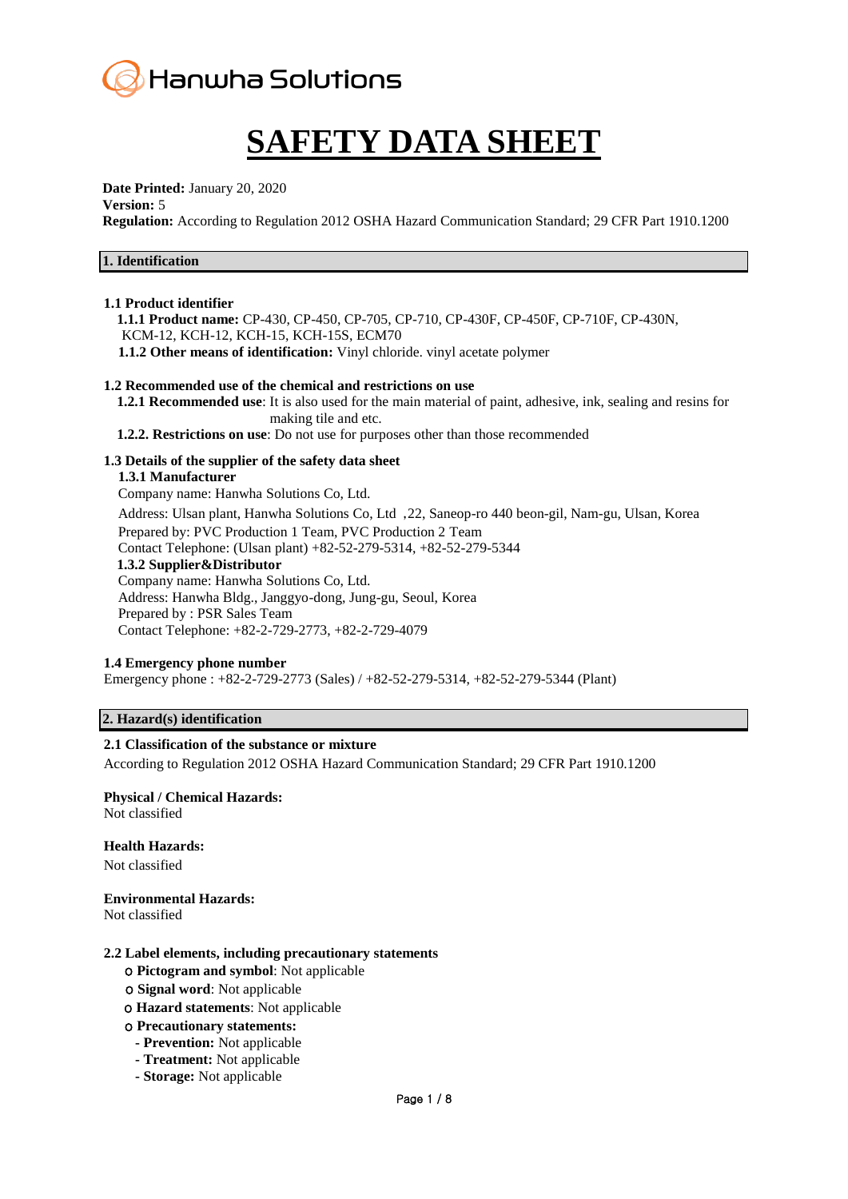

# **SAFETY DATA SHEET**

**Date Printed:** January 20, 2020

#### **Version:** 5

**Regulation:** According to Regulation 2012 OSHA Hazard Communication Standard; 29 CFR Part 1910.1200

## **1. Identification**

#### **1.1 Product identifier**

 **1.1.1 Product name:** CP-430, CP-450, CP-705, CP-710, CP-430F, CP-450F, CP-710F, CP-430N, KCM-12, KCH-12, KCH-15, KCH-15S, ECM70  **1.1.2 Other means of identification:** Vinyl chloride. vinyl acetate polymer

## **1.2 Recommended use of the chemical and restrictions on use**

 **1.2.1 Recommended use**: It is also used for the main material of paint, adhesive, ink, sealing and resins for making tile and etc.

 **1.2.2. Restrictions on use**: Do not use for purposes other than those recommended

## **1.3 Details of the supplier of the safety data sheet**

## **1.3.1 Manufacturer**

Company name: Hanwha Solutions Co, Ltd.

 Address: Ulsan plant, Hanwha Solutions Co, Ltd ,22, Saneop-ro 440 beon-gil, Nam-gu, Ulsan, Korea Prepared by: PVC Production 1 Team, PVC Production 2 Team

Contact Telephone: (Ulsan plant) +82-52-279-5314, +82-52-279-5344

#### **1.3.2 Supplier&Distributor**

 Company name: Hanwha Solutions Co, Ltd. Address: Hanwha Bldg., Janggyo-dong, Jung-gu, Seoul, Korea Prepared by : PSR Sales Team Contact Telephone: +82-2-729-2773, +82-2-729-4079

## **1.4 Emergency phone number**

Emergency phone : +82-2-729-2773 (Sales) / +82-52-279-5314, +82-52-279-5344 (Plant)

## **2. Hazard(s) identification**

## **2.1 Classification of the substance or mixture**

According to Regulation 2012 OSHA Hazard Communication Standard; 29 CFR Part 1910.1200

#### **Physical / Chemical Hazards:**  Not classified

## **Health Hazards:**

Not classified

## **Environmental Hazards:**

Not classified

#### **2.2 Label elements, including precautionary statements**

- ο **Pictogram and symbol**: Not applicable
- ο **Signal word**: Not applicable
- ο **Hazard statements**: Not applicable
- ο **Precautionary statements:**
	- **- Prevention:** Not applicable
	- **- Treatment:** Not applicable
	- **- Storage:** Not applicable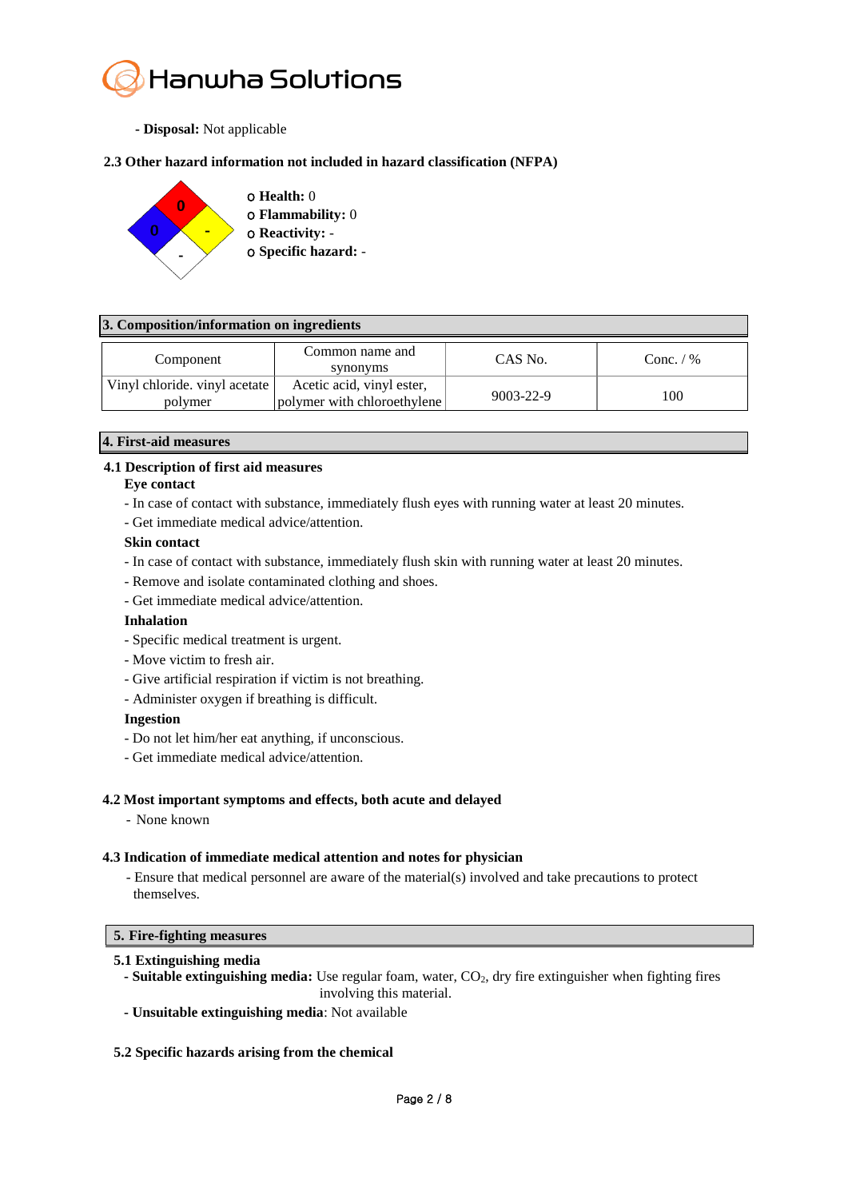

 **- Disposal:** Not applicable

# **2.3 Other hazard information not included in hazard classification (NFPA)**



## **3. Composition/information on ingredients**

| Component                                | Common name and<br>synonyms                              | CAS No.         | Conc. $/$ % |
|------------------------------------------|----------------------------------------------------------|-----------------|-------------|
| Vinyl chloride. vinyl acetate<br>polymer | Acetic acid, vinyl ester,<br>polymer with chloroethylene | $9003 - 22 - 9$ | 100         |

## **4. First-aid measures**

# **4.1 Description of first aid measures**

## **Eye contact**

- In case of contact with substance, immediately flush eyes with running water at least 20 minutes.
- Get immediate medical advice/attention.

## **Skin contact**

- In case of contact with substance, immediately flush skin with running water at least 20 minutes.
- Remove and isolate contaminated clothing and shoes.
- Get immediate medical advice/attention.

## **Inhalation**

- Specific medical treatment is urgent.
- Move victim to fresh air.
- Give artificial respiration if victim is not breathing.
- Administer oxygen if breathing is difficult.

## **Ingestion**

- Do not let him/her eat anything, if unconscious.
- Get immediate medical advice/attention.

## **4.2 Most important symptoms and effects, both acute and delayed**

- None known

# **4.3 Indication of immediate medical attention and notes for physician**

- Ensure that medical personnel are aware of the material(s) involved and take precautions to protect themselves.

# **5. Fire-fighting measures**

## **5.1 Extinguishing media**

- **-** Suitable extinguishing media: Use regular foam, water, CO<sub>2</sub>, dry fire extinguisher when fighting fires involving this material.
- **- Unsuitable extinguishing media**: Not available

## **5.2 Specific hazards arising from the chemical**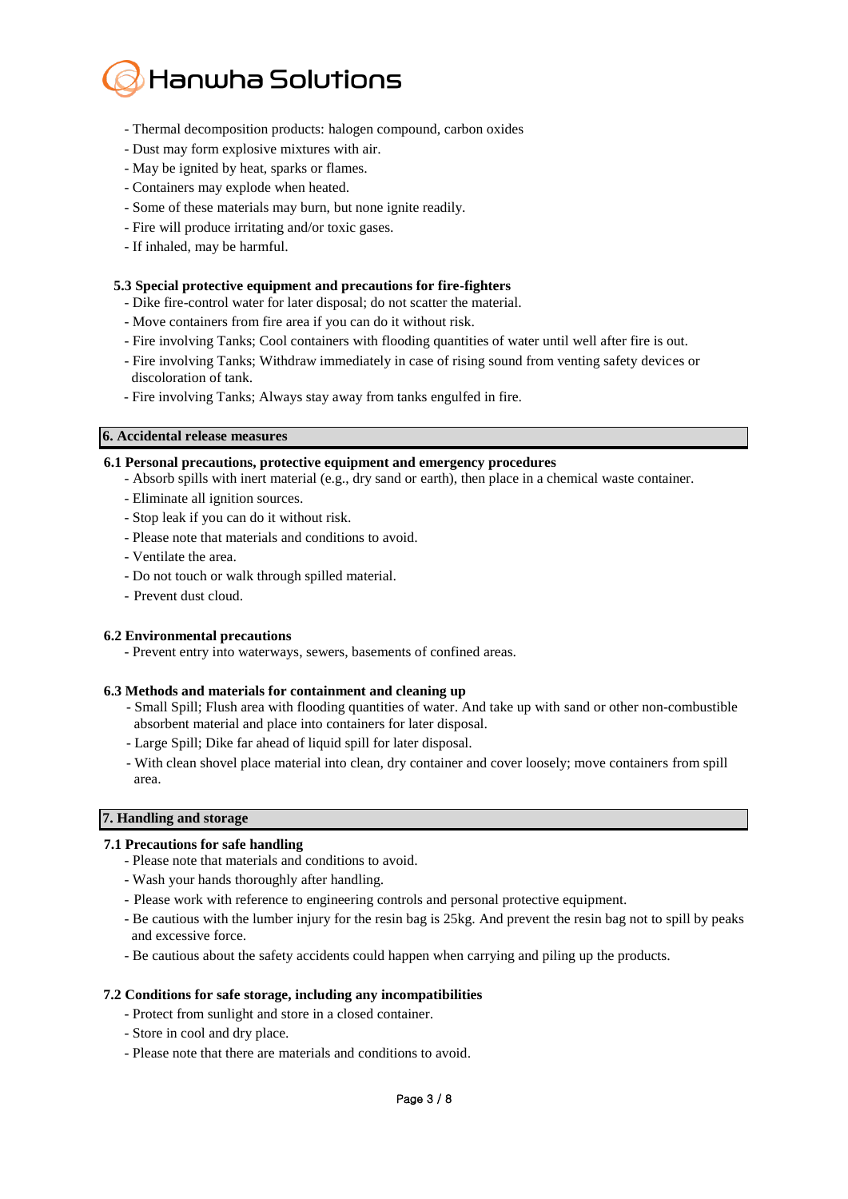

- Thermal decomposition products: halogen compound, carbon oxides
- Dust may form explosive mixtures with air.
- May be ignited by heat, sparks or flames.
- Containers may explode when heated.
- Some of these materials may burn, but none ignite readily.
- Fire will produce irritating and/or toxic gases.
- If inhaled, may be harmful.

## **5.3 Special protective equipment and precautions for fire-fighters**

- Dike fire-control water for later disposal; do not scatter the material.
- Move containers from fire area if you can do it without risk.
- Fire involving Tanks; Cool containers with flooding quantities of water until well after fire is out.
- Fire involving Tanks; Withdraw immediately in case of rising sound from venting safety devices or discoloration of tank.
- Fire involving Tanks; Always stay away from tanks engulfed in fire.

## **6. Accidental release measures**

## **6.1 Personal precautions, protective equipment and emergency procedures**

- Absorb spills with inert material (e.g., dry sand or earth), then place in a chemical waste container.
- Eliminate all ignition sources.
- Stop leak if you can do it without risk.
- Please note that materials and conditions to avoid.
- Ventilate the area.
- Do not touch or walk through spilled material.
- Prevent dust cloud.

## **6.2 Environmental precautions**

- Prevent entry into waterways, sewers, basements of confined areas.

## **6.3 Methods and materials for containment and cleaning up**

- Small Spill; Flush area with flooding quantities of water. And take up with sand or other non-combustible absorbent material and place into containers for later disposal.
- Large Spill; Dike far ahead of liquid spill for later disposal.
- With clean shovel place material into clean, dry container and cover loosely; move containers from spill area.

## **7. Handling and storage**

- **7.1 Precautions for safe handling**
	- Please note that materials and conditions to avoid.
	- Wash your hands thoroughly after handling.
	- Please work with reference to engineering controls and personal protective equipment.
	- Be cautious with the lumber injury for the resin bag is 25kg. And prevent the resin bag not to spill by peaks and excessive force.
	- Be cautious about the safety accidents could happen when carrying and piling up the products.

## **7.2 Conditions for safe storage, including any incompatibilities**

- Protect from sunlight and store in a closed container.
- Store in cool and dry place.
- Please note that there are materials and conditions to avoid.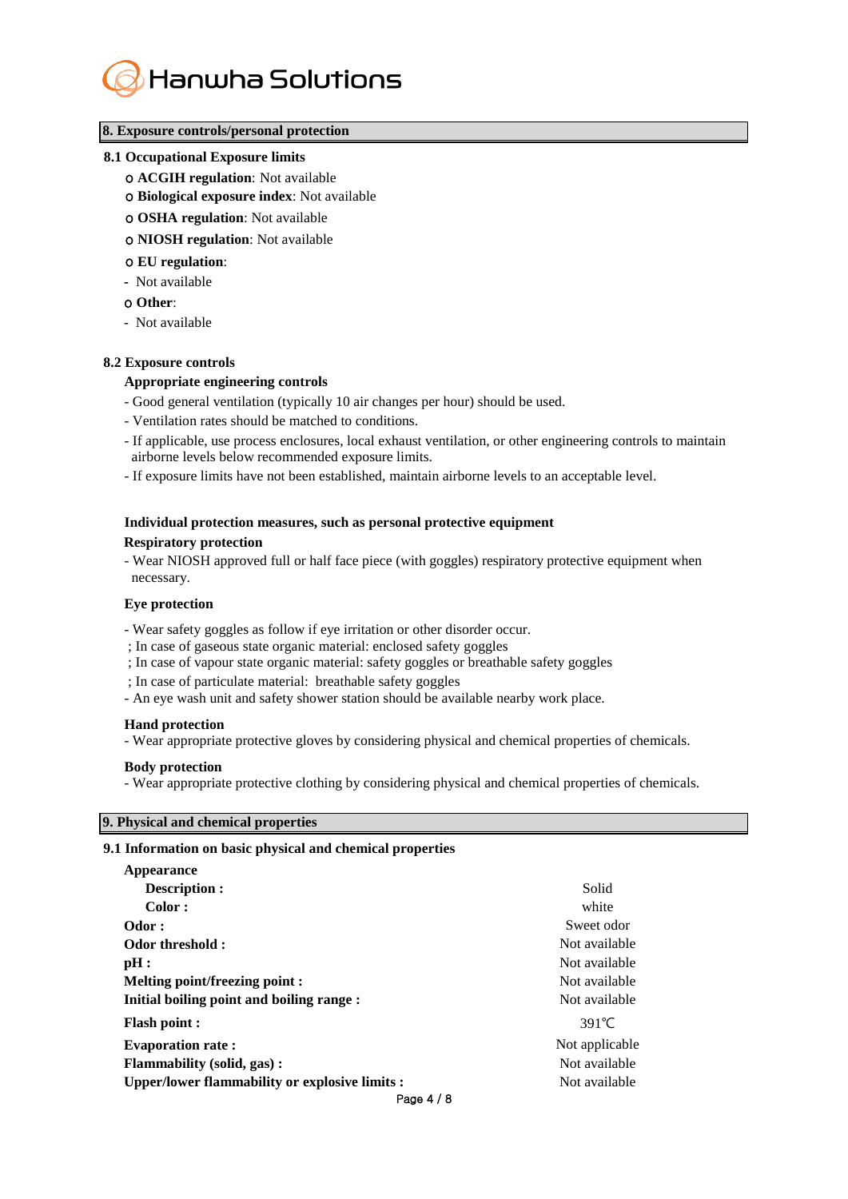

## **8. Exposure controls/personal protection**

#### **8.1 Occupational Exposure limits**

- ο **ACGIH regulation**: Not available
- ο **Biological exposure index**: Not available
- ο **OSHA regulation**: Not available
- ο **NIOSH regulation**: Not available
- ο **EU regulation**:
- **-** Not available
- ο **Other**:
- Not available

#### **8.2 Exposure controls**

#### **Appropriate engineering controls**

- Good general ventilation (typically 10 air changes per hour) should be used.
- Ventilation rates should be matched to conditions.
- If applicable, use process enclosures, local exhaust ventilation, or other engineering controls to maintain airborne levels below recommended exposure limits.
- If exposure limits have not been established, maintain airborne levels to an acceptable level.

# **Individual protection measures, such as personal protective equipment Respiratory protection**

- Wear NIOSH approved full or half face piece (with goggles) respiratory protective equipment when necessary.

#### **Eye protection**

- Wear safety goggles as follow if eye irritation or other disorder occur.
- ; In case of gaseous state organic material: enclosed safety goggles
- ; In case of vapour state organic material: safety goggles or breathable safety goggles
- ; In case of particulate material: breathable safety goggles
- An eye wash unit and safety shower station should be available nearby work place.

#### **Hand protection**

- Wear appropriate protective gloves by considering physical and chemical properties of chemicals.

#### **Body protection**

- Wear appropriate protective clothing by considering physical and chemical properties of chemicals.

## **9. Physical and chemical properties**

## **9.1 Information on basic physical and chemical properties**

| Appearance                                     |                 |
|------------------------------------------------|-----------------|
| <b>Description:</b>                            | Solid           |
| Color:                                         | white           |
| Odor:                                          | Sweet odor      |
| Odor threshold:                                | Not available   |
| pH:                                            | Not available   |
| Melting point/freezing point :                 | Not available   |
| Initial boiling point and boiling range :      | Not available   |
| <b>Flash point:</b>                            | $391^{\circ}$ C |
| <b>Evaporation rate:</b>                       | Not applicable  |
| <b>Flammability (solid, gas):</b>              | Not available   |
| Upper/lower flammability or explosive limits : | Not available   |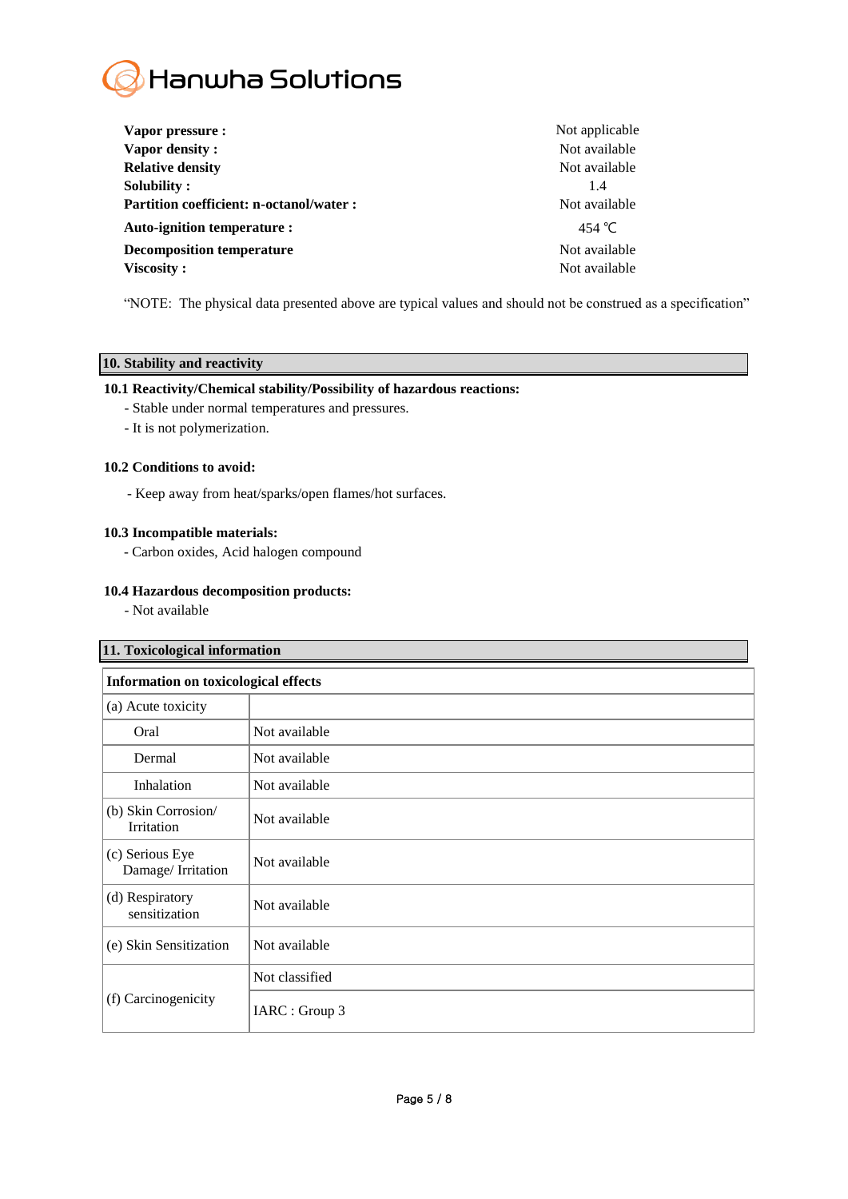

| Vapor pressure :                               | Not applicable |
|------------------------------------------------|----------------|
| Vapor density:                                 | Not available  |
| <b>Relative density</b>                        | Not available  |
| Solubility:                                    | 1.4            |
| <b>Partition coefficient: n-octanol/water:</b> | Not available  |
| Auto-ignition temperature :                    | 454 °C         |
| <b>Decomposition temperature</b>               | Not available  |
| Viscosity:                                     | Not available  |

"NOTE: The physical data presented above are typical values and should not be construed as a specification"

# **10. Stability and reactivity**

## **10.1 Reactivity/Chemical stability/Possibility of hazardous reactions:**

- Stable under normal temperatures and pressures.
- It is not polymerization.

## **10.2 Conditions to avoid:**

- Keep away from heat/sparks/open flames/hot surfaces.

## **10.3 Incompatible materials:**

- Carbon oxides, Acid halogen compound

## **10.4 Hazardous decomposition products:**

- Not available

| 11. Toxicological information               |                |
|---------------------------------------------|----------------|
| <b>Information on toxicological effects</b> |                |
| (a) Acute toxicity                          |                |
| Oral                                        | Not available  |
| Dermal                                      | Not available  |
| Inhalation                                  | Not available  |
| (b) Skin Corrosion/<br>Irritation           | Not available  |
| (c) Serious Eye<br>Damage/Irritation        | Not available  |
| (d) Respiratory<br>sensitization            | Not available  |
| (e) Skin Sensitization                      | Not available  |
| (f) Carcinogenicity                         | Not classified |
|                                             | IARC : Group 3 |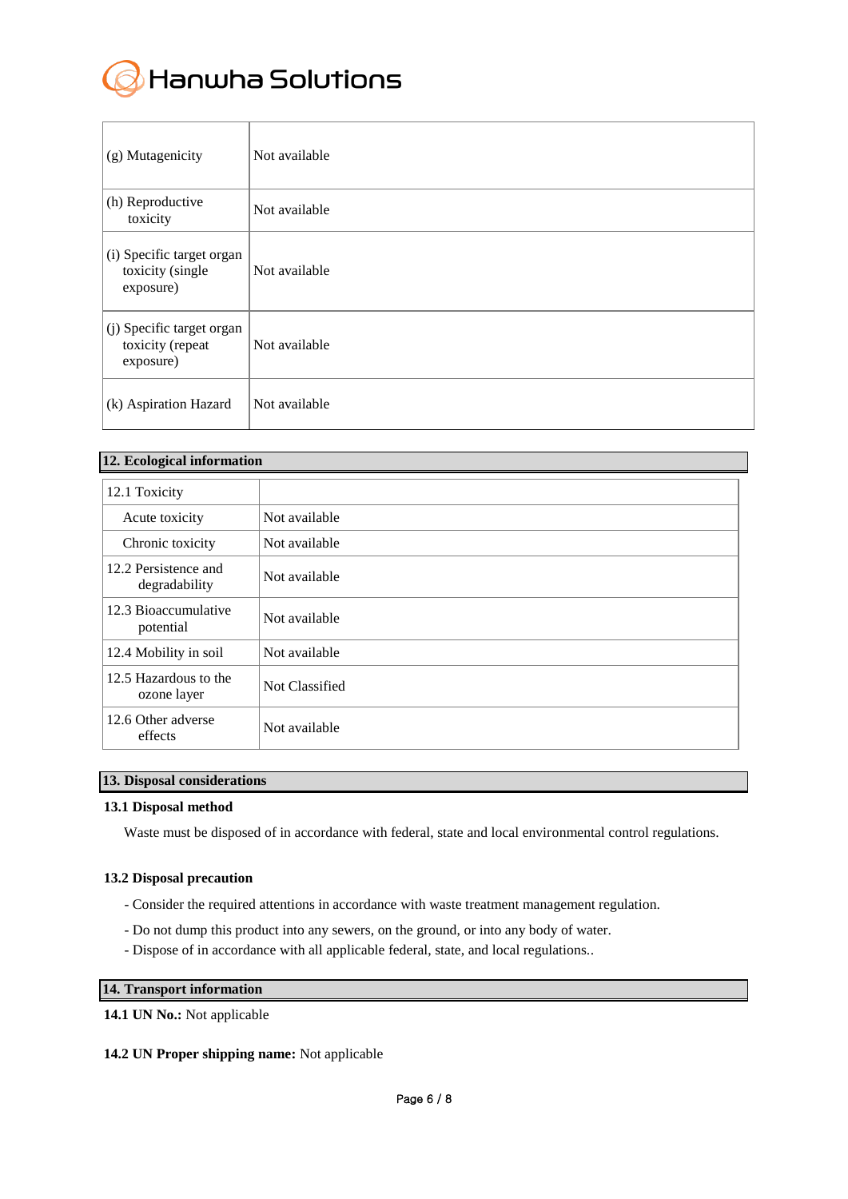

| (g) Mutagenicity                                           | Not available |
|------------------------------------------------------------|---------------|
| (h) Reproductive<br>toxicity                               | Not available |
| (i) Specific target organ<br>toxicity (single<br>exposure) | Not available |
| (j) Specific target organ<br>toxicity (repeat<br>exposure) | Not available |
| (k) Aspiration Hazard                                      | Not available |

| 12. Ecological information            |                |
|---------------------------------------|----------------|
| 12.1 Toxicity                         |                |
| Acute toxicity                        | Not available  |
| Chronic toxicity                      | Not available  |
| 12.2 Persistence and<br>degradability | Not available  |
| 12.3 Bioaccumulative<br>potential     | Not available  |
| 12.4 Mobility in soil                 | Not available  |
| 12.5 Hazardous to the<br>ozone layer  | Not Classified |
| 12.6 Other adverse<br>effects         | Not available  |

## **13. Disposal considerations**

## **13.1 Disposal method**

Waste must be disposed of in accordance with federal, state and local environmental control regulations.

## **13.2 Disposal precaution**

- Consider the required attentions in accordance with waste treatment management regulation.
- Do not dump this product into any sewers, on the ground, or into any body of water.
- Dispose of in accordance with all applicable federal, state, and local regulations..

# **14. Transport information**

## **14.1 UN No.:** Not applicable

## **14.2 UN Proper shipping name:** Not applicable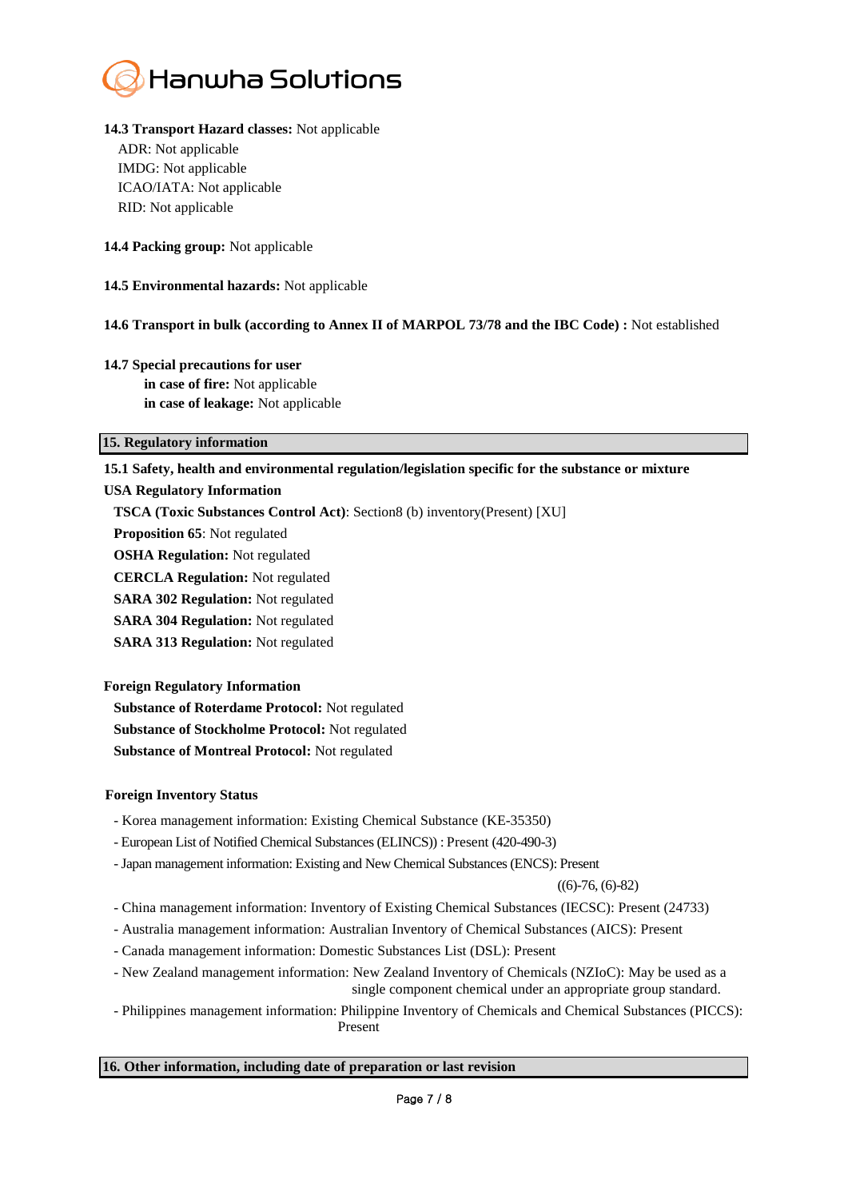

# **14.3 Transport Hazard classes:** Not applicable

ADR: Not applicable IMDG: Not applicable ICAO/IATA: Not applicable RID: Not applicable

**14.4 Packing group:** Not applicable

**14.5 Environmental hazards:** Not applicable

# **14.6 Transport in bulk (according to Annex II of MARPOL 73/78 and the IBC Code) :** Not established

# **14.7 Special precautions for user in case of fire:** Not applicable **in case of leakage:** Not applicable

# **15. Regulatory information**

# **15.1 Safety, health and environmental regulation/legislation specific for the substance or mixture**

# **USA Regulatory Information**

**TSCA (Toxic Substances Control Act)**: Section8 (b) inventory(Present) [XU]

**Proposition 65**: Not regulated

**OSHA Regulation:** Not regulated

**CERCLA Regulation:** Not regulated

**SARA 302 Regulation:** Not regulated

**SARA 304 Regulation:** Not regulated

**SARA 313 Regulation:** Not regulated

# **Foreign Regulatory Information**

**Substance of Roterdame Protocol:** Not regulated **Substance of Stockholme Protocol:** Not regulated **Substance of Montreal Protocol:** Not regulated

## **Foreign Inventory Status**

- Korea management information: Existing Chemical Substance (KE-35350)
- European List of Notified Chemical Substances (ELINCS)) : Present (420-490-3)
- -Japan management information: Existing and New Chemical Substances (ENCS): Present

 $((6)$ -76,  $(6)$ -82)

- China management information: Inventory of Existing Chemical Substances (IECSC): Present (24733)
- Australia management information: Australian Inventory of Chemical Substances (AICS): Present
- Canada management information: Domestic Substances List (DSL): Present
- New Zealand management information: New Zealand Inventory of Chemicals (NZIoC): May be used as a single component chemical under an appropriate group standard.
- Philippines management information: Philippine Inventory of Chemicals and Chemical Substances (PICCS): Present

## **16. Other information, including date of preparation or last revision**